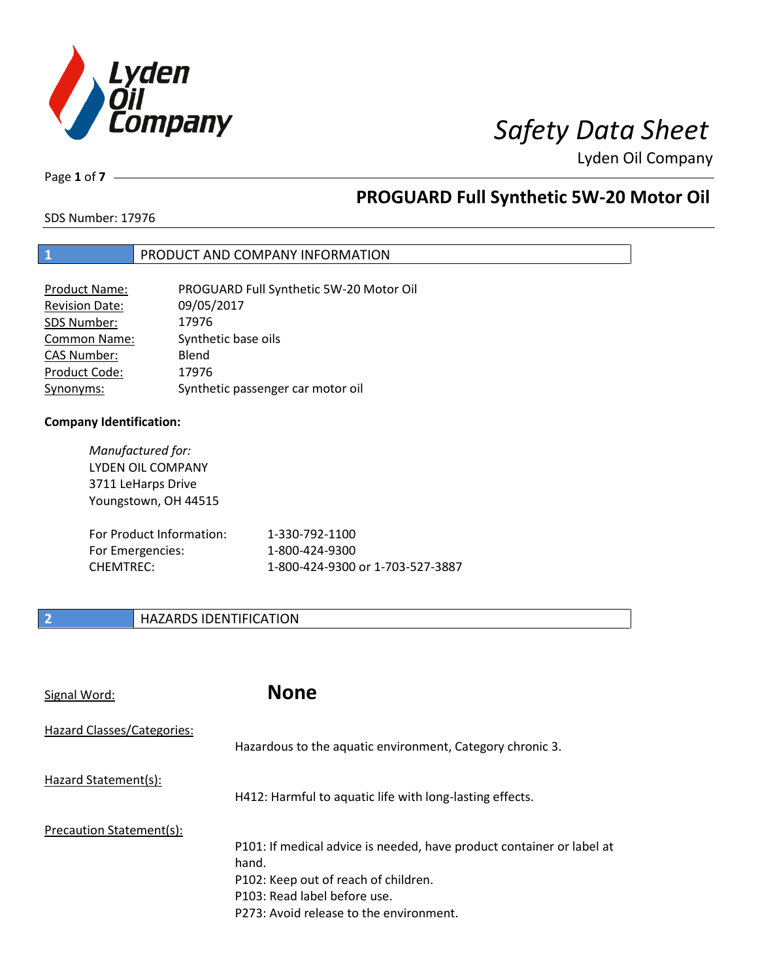

Lyden Oil Company

Page **1** of **7**

### **PROGUARD Full Synthetic 5W-20 Motor Oil**

SDS Number: 17976

#### **1** PRODUCT AND COMPANY INFORMATION

| <b>Product Name:</b>  | PROGUARD Full Synthetic 5W-20 Motor Oil |
|-----------------------|-----------------------------------------|
| <b>Revision Date:</b> | 09/05/2017                              |
| SDS Number:           | 17976                                   |
| <b>Common Name:</b>   | Synthetic base oils                     |
| <b>CAS Number:</b>    | Blend                                   |
| Product Code:         | 17976                                   |
| Synonyms:             | Synthetic passenger car motor oil       |

#### **Company Identification:**

*Manufactured for:*  LYDEN OIL COMPANY 3711 LeHarps Drive Youngstown, OH 44515

| For Product Information: | 1-330-792-1100                   |
|--------------------------|----------------------------------|
| For Emergencies:         | 1-800-424-9300                   |
| CHEMTREC:                | 1-800-424-9300 or 1-703-527-3887 |

#### **2 HAZARDS IDENTIFICATION**

| Signal Word:               | <b>None</b>                                                                                                                                                                                       |
|----------------------------|---------------------------------------------------------------------------------------------------------------------------------------------------------------------------------------------------|
| Hazard Classes/Categories: | Hazardous to the aquatic environment, Category chronic 3.                                                                                                                                         |
| Hazard Statement(s):       | H412: Harmful to aquatic life with long-lasting effects.                                                                                                                                          |
| Precaution Statement(s):   | P101: If medical advice is needed, have product container or label at<br>hand.<br>P102: Keep out of reach of children.<br>P103: Read label before use.<br>P273: Avoid release to the environment. |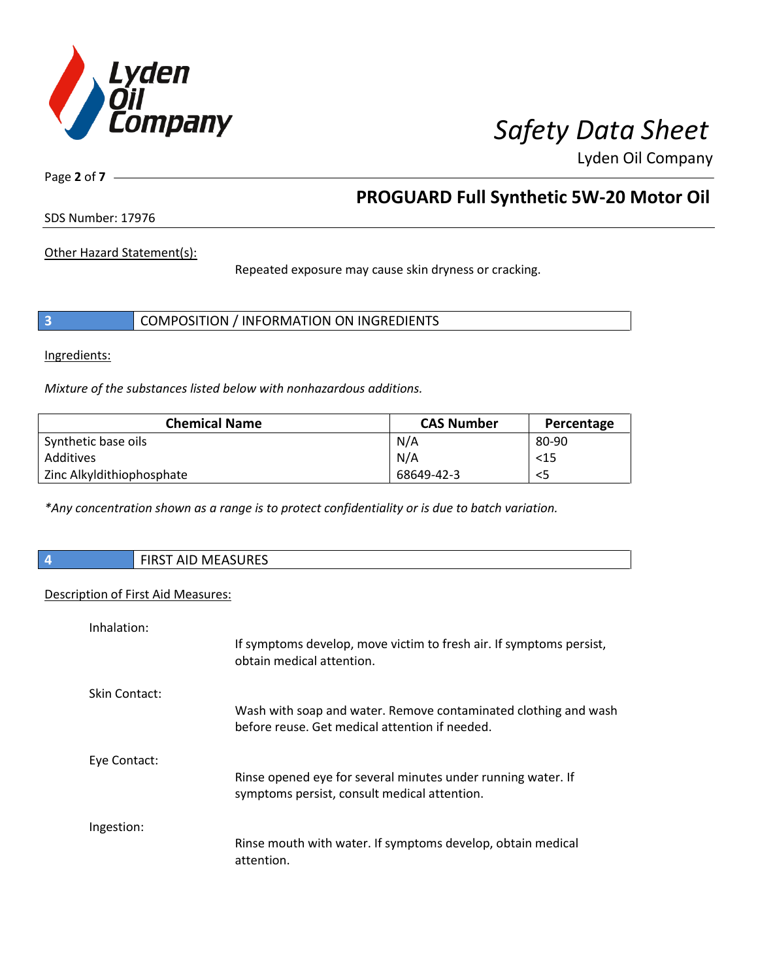

Lyden Oil Company

Page **2** of **7**

### **PROGUARD Full Synthetic 5W-20 Motor Oil**

SDS Number: 17976

Other Hazard Statement(s):

Repeated exposure may cause skin dryness or cracking.

|  | COMPOSITION / INFORMATION ON INGREDIENTS |
|--|------------------------------------------|
|--|------------------------------------------|

Ingredients:

*Mixture of the substances listed below with nonhazardous additions.* 

| <b>Chemical Name</b>      | <b>CAS Number</b> | Percentage |
|---------------------------|-------------------|------------|
| Synthetic base oils       | N/A               | 80-90      |
| Additives                 | N/A               | < 15       |
| Zinc Alkyldithiophosphate | 68649-42-3        | <5         |

*\*Any concentration shown as a range is to protect confidentiality or is due to batch variation.*

| <b>FIRST AID MEASURES</b><br><b>FIDCT AID</b> |
|-----------------------------------------------|
|                                               |

#### Description of First Aid Measures:

| Inhalation:   |                                                                                                                   |
|---------------|-------------------------------------------------------------------------------------------------------------------|
|               | If symptoms develop, move victim to fresh air. If symptoms persist,<br>obtain medical attention.                  |
| Skin Contact: |                                                                                                                   |
|               | Wash with soap and water. Remove contaminated clothing and wash<br>before reuse. Get medical attention if needed. |
| Eye Contact:  |                                                                                                                   |
|               | Rinse opened eye for several minutes under running water. If<br>symptoms persist, consult medical attention.      |
| Ingestion:    |                                                                                                                   |
|               | Rinse mouth with water. If symptoms develop, obtain medical<br>attention.                                         |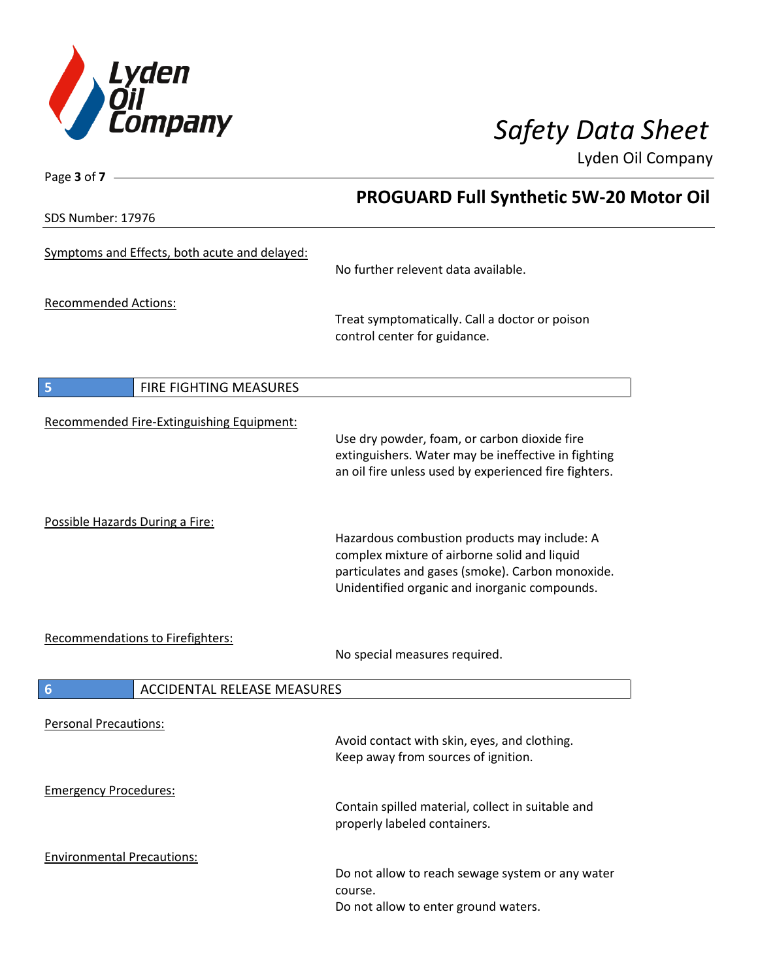

Page **3** of **7**

### *Safety Data Sheet*

Lyden Oil Company

|                                               | <b>PROGUARD Full Synthetic 5W-20 Motor Oil</b>                                                                                                                                                    |
|-----------------------------------------------|---------------------------------------------------------------------------------------------------------------------------------------------------------------------------------------------------|
| SDS Number: 17976                             |                                                                                                                                                                                                   |
| Symptoms and Effects, both acute and delayed: | No further relevent data available.                                                                                                                                                               |
| <b>Recommended Actions:</b>                   | Treat symptomatically. Call a doctor or poison<br>control center for guidance.                                                                                                                    |
| 5<br>FIRE FIGHTING MEASURES                   |                                                                                                                                                                                                   |
| Recommended Fire-Extinguishing Equipment:     | Use dry powder, foam, or carbon dioxide fire<br>extinguishers. Water may be ineffective in fighting<br>an oil fire unless used by experienced fire fighters.                                      |
| Possible Hazards During a Fire:               | Hazardous combustion products may include: A<br>complex mixture of airborne solid and liquid<br>particulates and gases (smoke). Carbon monoxide.<br>Unidentified organic and inorganic compounds. |
| Recommendations to Firefighters:              | No special measures required.                                                                                                                                                                     |
| <b>ACCIDENTAL RELEASE MEASURES</b><br>6       |                                                                                                                                                                                                   |
| <b>Personal Precautions:</b>                  | Avoid contact with skin, eyes, and clothing.<br>Keep away from sources of ignition.                                                                                                               |
| <b>Emergency Procedures:</b>                  | Contain spilled material, collect in suitable and<br>properly labeled containers.                                                                                                                 |
| <b>Environmental Precautions:</b>             | Do not allow to reach sewage system or any water<br>course.<br>Do not allow to enter ground waters.                                                                                               |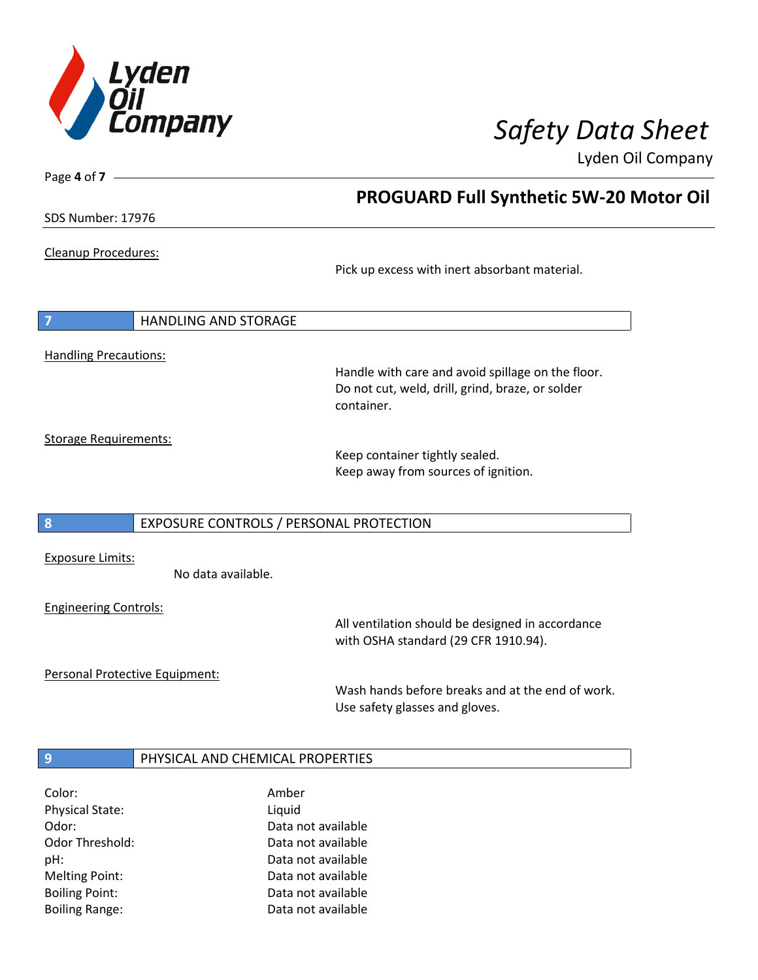

 **PROGUARD Full Synthetic 5W-20 Motor Oil** 

Lyden Oil Company

SDS Number: 17976

Page **4** of **7**

Cleanup Procedures:

Pick up excess with inert absorbant material.

**7** HANDLING AND STORAGE Handling Precautions:

Handle with care and avoid spillage on the floor. Do not cut, weld, drill, grind, braze, or solder container.

Storage Requirements:

Keep container tightly sealed. Keep away from sources of ignition.

#### **8** EXPOSURE CONTROLS / PERSONAL PROTECTION

Exposure Limits:

No data available.

Engineering Controls:

All ventilation should be designed in accordance with OSHA standard (29 CFR 1910.94).

Personal Protective Equipment:

Wash hands before breaks and at the end of work. Use safety glasses and gloves.

#### **9 PHYSICAL AND CHEMICAL PROPERTIES**

| Color:                 | Amber              |
|------------------------|--------------------|
| <b>Physical State:</b> | Liquid             |
| Odor:                  | Data not available |
| Odor Threshold:        | Data not available |
| pH:                    | Data not available |
| <b>Melting Point:</b>  | Data not available |
| <b>Boiling Point:</b>  | Data not available |
| <b>Boiling Range:</b>  | Data not available |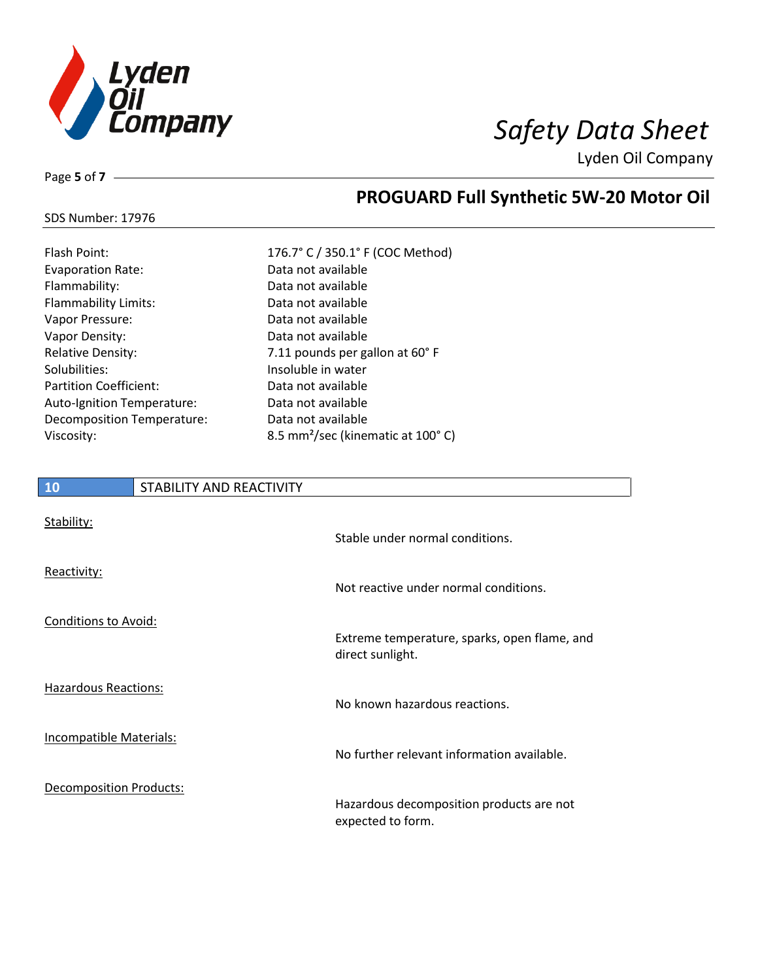

Lyden Oil Company

Page **5** of **7**

### **PROGUARD Full Synthetic 5W-20 Motor Oil**

|  | <b>SDS Number: 17976</b> |  |
|--|--------------------------|--|
|--|--------------------------|--|

| Flash Point:                  | 176.7° C / 350.1° F             |
|-------------------------------|---------------------------------|
| <b>Evaporation Rate:</b>      | Data not available              |
| Flammability:                 | Data not available              |
| <b>Flammability Limits:</b>   | Data not available              |
| Vapor Pressure:               | Data not available              |
| Vapor Density:                | Data not available              |
| <b>Relative Density:</b>      | 7.11 pounds per ga              |
| Solubilities:                 | Insoluble in water              |
| <b>Partition Coefficient:</b> | Data not available              |
| Auto-Ignition Temperature:    | Data not available              |
| Decomposition Temperature:    | Data not available              |
| Viscosity:                    | 8.5 mm <sup>2</sup> /sec (kiner |
|                               |                                 |

| Flash Point:                  | 176.7° C / 350.1° F (COC Method)              |
|-------------------------------|-----------------------------------------------|
| <b>Evaporation Rate:</b>      | Data not available                            |
| Flammability:                 | Data not available                            |
| <b>Flammability Limits:</b>   | Data not available                            |
| Vapor Pressure:               | Data not available                            |
| Vapor Density:                | Data not available                            |
| <b>Relative Density:</b>      | 7.11 pounds per gallon at 60° F               |
| Solubilities:                 | Insoluble in water                            |
| <b>Partition Coefficient:</b> | Data not available                            |
| Auto-Ignition Temperature:    | Data not available                            |
| Decomposition Temperature:    | Data not available                            |
| Viscosity:                    | 8.5 mm <sup>2</sup> /sec (kinematic at 100°C) |

| 10                             | STABILITY AND REACTIVITY |                                                                  |
|--------------------------------|--------------------------|------------------------------------------------------------------|
| Stability:                     |                          | Stable under normal conditions.                                  |
| Reactivity:                    |                          | Not reactive under normal conditions.                            |
| <b>Conditions to Avoid:</b>    |                          | Extreme temperature, sparks, open flame, and<br>direct sunlight. |
| <b>Hazardous Reactions:</b>    |                          | No known hazardous reactions.                                    |
| <b>Incompatible Materials:</b> |                          | No further relevant information available.                       |
| <b>Decomposition Products:</b> |                          | Hazardous decomposition products are not<br>expected to form.    |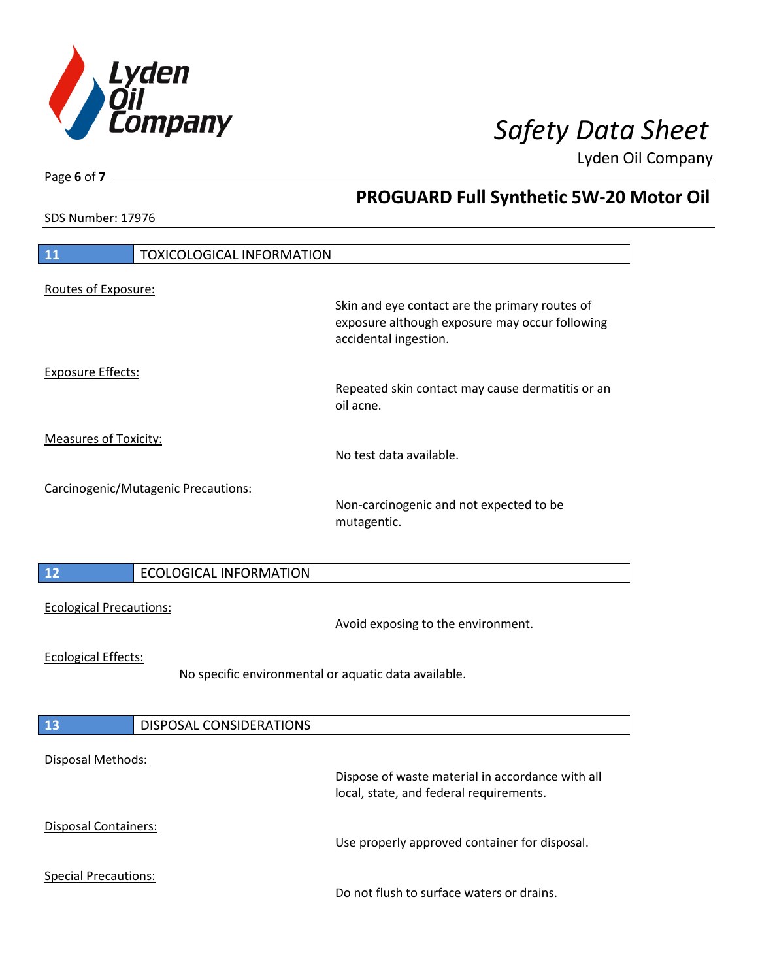

 **PROGUARD Full Synthetic 5W-20 Motor Oil** 

Lyden Oil Company

SDS Number: 17976

Page **6** of **7**

| 11                                                                                 | <b>TOXICOLOGICAL INFORMATION</b>    |                                                                                                                           |  |  |
|------------------------------------------------------------------------------------|-------------------------------------|---------------------------------------------------------------------------------------------------------------------------|--|--|
|                                                                                    |                                     |                                                                                                                           |  |  |
| Routes of Exposure:                                                                |                                     |                                                                                                                           |  |  |
|                                                                                    |                                     | Skin and eye contact are the primary routes of<br>exposure although exposure may occur following<br>accidental ingestion. |  |  |
| <b>Exposure Effects:</b>                                                           |                                     |                                                                                                                           |  |  |
|                                                                                    |                                     | Repeated skin contact may cause dermatitis or an<br>oil acne.                                                             |  |  |
| <b>Measures of Toxicity:</b>                                                       |                                     |                                                                                                                           |  |  |
|                                                                                    |                                     | No test data available.                                                                                                   |  |  |
|                                                                                    |                                     |                                                                                                                           |  |  |
|                                                                                    | Carcinogenic/Mutagenic Precautions: | Non-carcinogenic and not expected to be<br>mutagentic.                                                                    |  |  |
|                                                                                    |                                     |                                                                                                                           |  |  |
| 12                                                                                 | <b>ECOLOGICAL INFORMATION</b>       |                                                                                                                           |  |  |
| <b>Ecological Precautions:</b>                                                     |                                     | Avoid exposing to the environment.                                                                                        |  |  |
|                                                                                    |                                     |                                                                                                                           |  |  |
| <b>Ecological Effects:</b><br>No specific environmental or aquatic data available. |                                     |                                                                                                                           |  |  |
|                                                                                    |                                     |                                                                                                                           |  |  |
| 13                                                                                 | DISPOSAL CONSIDERATIONS             |                                                                                                                           |  |  |
|                                                                                    |                                     |                                                                                                                           |  |  |
| Disposal Methods:                                                                  |                                     | Dispose of waste material in accordance with all<br>local, state, and federal requirements.                               |  |  |
| Disposal Containers:                                                               |                                     | Use properly approved container for disposal.                                                                             |  |  |
| <b>Special Precautions:</b>                                                        |                                     | Do not flush to surface waters or drains.                                                                                 |  |  |